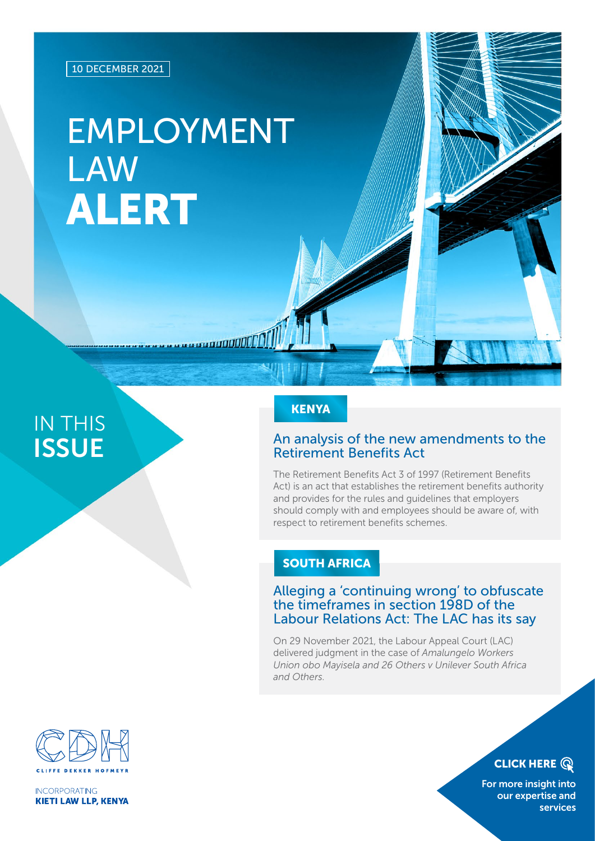# EMPLOYMENT LAW ALERT

a an an DDI

## IN THIS **ISSUE**

### **KENYA**

#### An analysis of the new amendments to the Retirement Benefits Act

The Retirement Benefits Act 3 of 1997 (Retirement Benefits Act) is an act that establishes the retirement benefits authority and provides for the rules and guidelines that employers should comply with and employees should be aware of, with respect to retirement benefits schemes.

#### SOUTH AFRICA

#### Alleging a 'continuing wrong' to obfuscate the timeframes in section 198D of the Labour Relations Act: The LAC has its say

On 29 November 2021, the Labour Appeal Court (LAC) delivered judgment in the case of *Amalungelo Workers Union obo Mayisela and 26 Others v Unilever South Africa and Others*.



**INCORPORATING KIETI LAW LLP, KENYA**  **CLICK HERE Q** 

[For more insight into](https://www.cliffedekkerhofmeyr.com/en/practice-areas/employment.html)  our expertise and services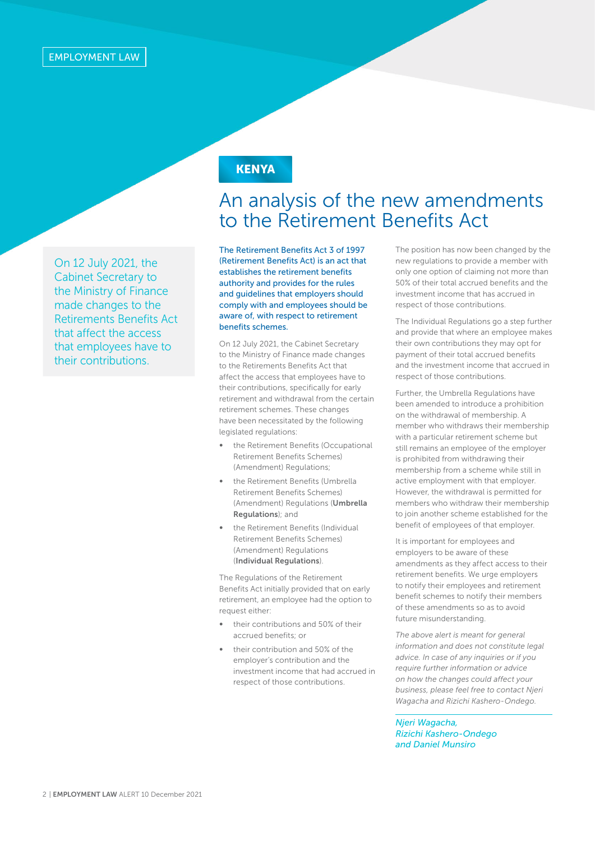On 12 July 2021, the Cabinet Secretary to the Ministry of Finance made changes to the Retirements Benefits Act that affect the access that employees have to their contributions.

#### **KENYA**

### An analysis of the new amendments to the Retirement Benefits Act

The Retirement Benefits Act 3 of 1997 (Retirement Benefits Act) is an act that establishes the retirement benefits authority and provides for the rules and guidelines that employers should comply with and employees should be aware of, with respect to retirement benefits schemes.

On 12 July 2021, the Cabinet Secretary to the Ministry of Finance made changes to the Retirements Benefits Act that affect the access that employees have to their contributions, specifically for early retirement and withdrawal from the certain retirement schemes. These changes have been necessitated by the following legislated regulations:

- the Retirement Benefits (Occupational Retirement Benefits Schemes) (Amendment) Regulations;
- the Retirement Benefits (Umbrella Retirement Benefits Schemes) (Amendment) Regulations (Umbrella Regulations); and
- the Retirement Benefits (Individual Retirement Benefits Schemes) (Amendment) Regulations (Individual Regulations).

The Regulations of the Retirement Benefits Act initially provided that on early retirement, an employee had the option to request either:

- their contributions and 50% of their accrued benefits; or
- their contribution and 50% of the employer's contribution and the investment income that had accrued in respect of those contributions.

The position has now been changed by the new regulations to provide a member with only one option of claiming not more than 50% of their total accrued benefits and the investment income that has accrued in respect of those contributions.

The Individual Regulations go a step further and provide that where an employee makes their own contributions they may opt for payment of their total accrued benefits and the investment income that accrued in respect of those contributions.

Further, the Umbrella Regulations have been amended to introduce a prohibition on the withdrawal of membership. A member who withdraws their membership with a particular retirement scheme but still remains an employee of the employer is prohibited from withdrawing their membership from a scheme while still in active employment with that employer. However, the withdrawal is permitted for members who withdraw their membership to join another scheme established for the benefit of employees of that employer.

It is important for employees and employers to be aware of these amendments as they affect access to their retirement benefits. We urge employers to notify their employees and retirement benefit schemes to notify their members of these amendments so as to avoid future misunderstanding.

*The above alert is meant for general information and does not constitute legal advice. In case of any inquiries or if you require further information or advice on how the changes could affect your business, please feel free to contact Njeri Wagacha and Rizichi Kashero-Ondego.*

*Njeri Wagacha, Rizichi Kashero-Ondego and Daniel Munsiro*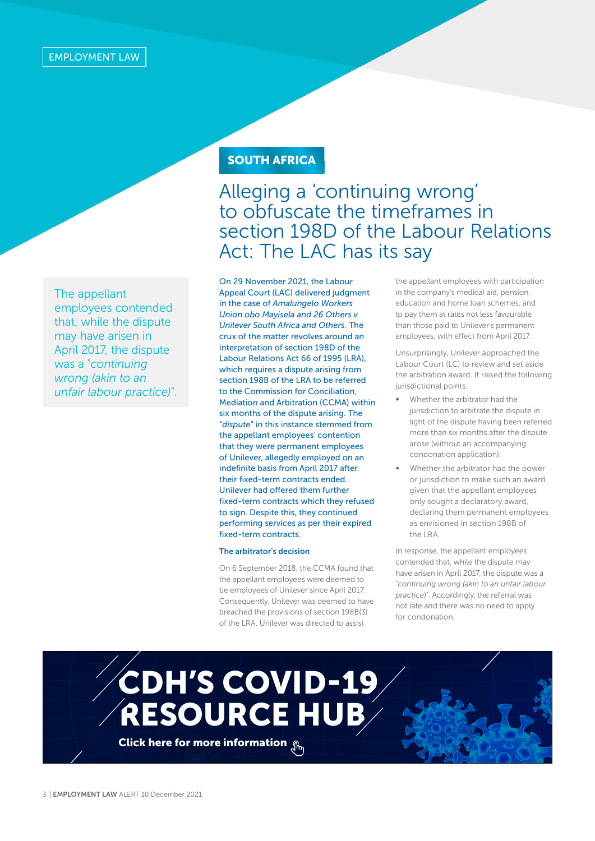The appellant employees contended that, while the dispute may have arisen in April 2017, the dispute was a "*continuing wrong (akin to an unfair labour practice)*".

### SOUTH AFRICA

### Alleging a 'continuing wrong' to obfuscate the timeframes in section 198D of the Labour Relations Act: The LAC has its say

On 29 November 2021, the Labour Appeal Court (LAC) delivered judgment in the case of *Amalungelo Workers Union obo Mayisela and 26 Others v Unilever South Africa and Others*. The crux of the matter revolves around an interpretation of section 198D of the Labour Relations Act 66 of 1995 (LRA), which requires a dispute arising from section 198B of the LRA to be referred to the Commission for Conciliation, Mediation and Arbitration (CCMA) within six months of the dispute arising. The "*dispute*" in this instance stemmed from the appellant employees' contention that they were permanent employees of Unilever, allegedly employed on an indefinite basis from April 2017 after their fixed-term contracts ended. Unilever had offered them further fixed-term contracts which they refused to sign. Despite this, they continued performing services as per their expired fixed-term contracts.

#### The arbitrator's decision

On 6 September 2018, the CCMA found that the appellant employees were deemed to be employees of Unilever since April 2017. Consequently, Unilever was deemed to have breached the provisions of section 198B(3) of the LRA. Unilever was directed to assist

the appellant employees with participation in the company's medical aid, pension, education and home loan schemes, and to pay them at rates not less favourable than those paid to Unilever's permanent employees, with effect from April 2017.

Unsurprisingly, Unilever approached the Labour Court (LC) to review and set aside the arbitration award. It raised the following jurisdictional points:

- Whether the arbitrator had the jurisdiction to arbitrate the dispute in light of the dispute having been referred more than six months after the dispute arose (without an accompanying condonation application).
- Whether the arbitrator had the power or jurisdiction to make such an award given that the appellant employees only sought a declaratory award, declaring them permanent employees as envisioned in section 198B of the LRA.

In response, the appellant employees contended that, while the dispute may have arisen in April 2017, the dispute was a "*continuing wrong (akin to an unfair labour practice*)". Accordingly, the referral was not late and there was no need to apply for condonation.

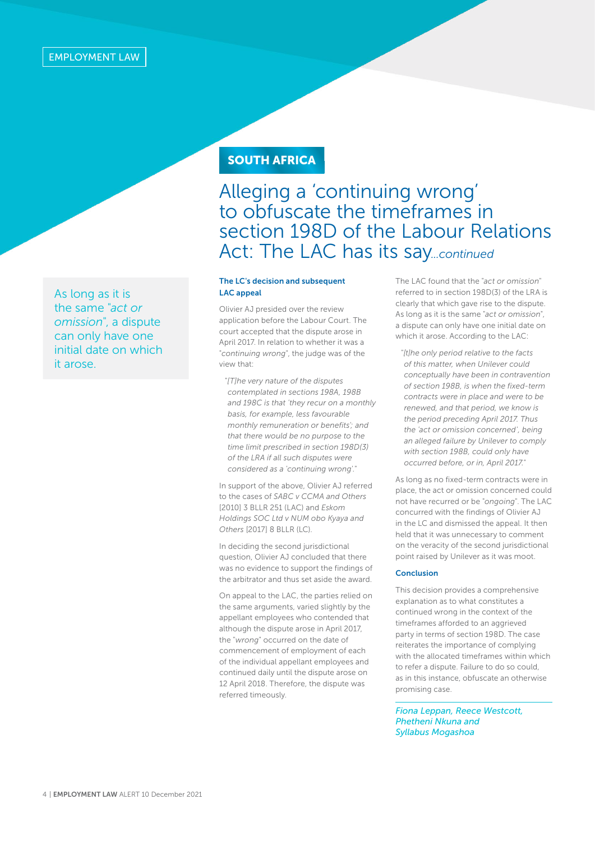As long as it is the same "*act or omission*", a dispute can only have one initial date on which it arose.

### **SOUTH AFRICA**

## Alleging a 'continuing wrong' to obfuscate the timeframes in section 198D of the Labour Relations Act: The LAC has its say*...continued*

#### The LC's decision and subsequent LAC appeal

Olivier AJ presided over the review application before the Labour Court. The court accepted that the dispute arose in April 2017. In relation to whether it was a "*continuing wrong*", the judge was of the view that:

"*[T]he very nature of the disputes contemplated in sections 198A, 198B and 198C is that 'they recur on a monthly basis, for example, less favourable monthly remuneration or benefits'; and that there would be no purpose to the time limit prescribed in section 198D(3) of the LRA if all such disputes were considered as a 'continuing wrong'.*"

In support of the above, Olivier AJ referred to the cases of *SABC v CCMA and Others* [2010] 3 BLLR 251 (LAC) and *Eskom Holdings SOC Ltd v NUM obo Kyaya and Others* [2017] 8 BLLR (LC).

In deciding the second jurisdictional question, Olivier AJ concluded that there was no evidence to support the findings of the arbitrator and thus set aside the award.

On appeal to the LAC, the parties relied on the same arguments, varied slightly by the appellant employees who contended that although the dispute arose in April 2017, the "*wrong*" occurred on the date of commencement of employment of each of the individual appellant employees and continued daily until the dispute arose on 12 April 2018. Therefore, the dispute was referred timeously.

The LAC found that the "*act or omission*" referred to in section 198D(3) of the LRA is clearly that which gave rise to the dispute. As long as it is the same "*act or omission*", a dispute can only have one initial date on which it arose. According to the LAC:

"*[t]he only period relative to the facts of this matter, when Unilever could conceptually have been in contravention of section 198B, is when the fixed-term contracts were in place and were to be renewed, and that period, we know is the period preceding April 2017. Thus the 'act or omission concerned', being an alleged failure by Unilever to comply with section 198B, could only have occurred before, or in, April 2017."*

As long as no fixed-term contracts were in place, the act or omission concerned could not have recurred or be "*ongoing*". The LAC concurred with the findings of Olivier AJ in the LC and dismissed the appeal. It then held that it was unnecessary to comment on the veracity of the second jurisdictional point raised by Unilever as it was moot.

#### Conclusion

This decision provides a comprehensive explanation as to what constitutes a continued wrong in the context of the timeframes afforded to an aggrieved party in terms of section 198D. The case reiterates the importance of complying with the allocated timeframes within which to refer a dispute. Failure to do so could, as in this instance, obfuscate an otherwise promising case.

*Fiona Leppan, Reece Westcott, Phetheni Nkuna and Syllabus Mogashoa*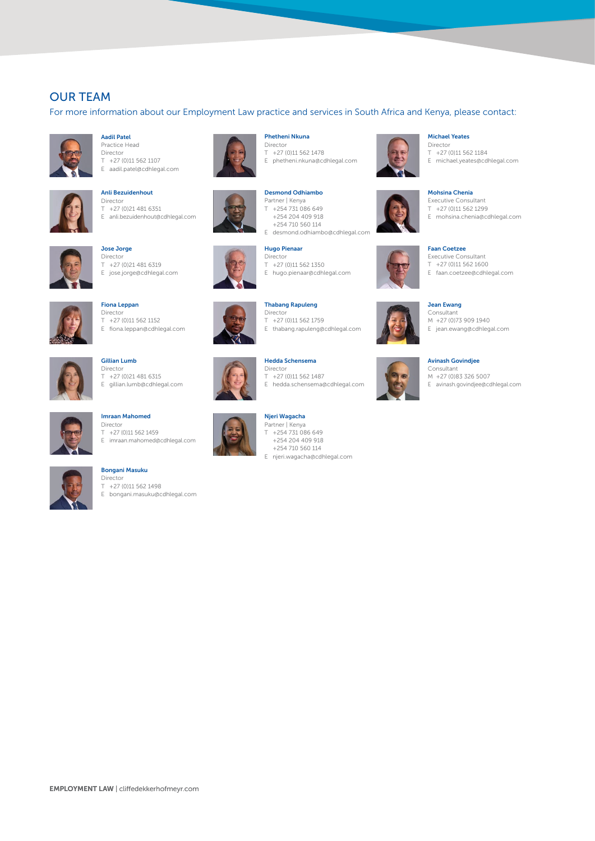#### OUR TEAM

For more information about our Employment Law practice and services in South Africa and Kenya, please contact:



Aadil Patel Practice Head Director T +27 (0)11 562 1107 E aadil.patel@cdhlegal.com



Anli Bezuidenhout Director T +27 (0)21 481 6351 E anli.bezuidenhout@cdhlegal.com



Jose Jorge Director T +27 (0)21 481 6319 E jose.jorge@cdhlegal.com



Fiona Leppan Director  $T$  +27 (0)11 562 1152 E fiona.leppan@cdhlegal.com



Director  $T +27 (0)21 481 6315$ E gillian.lumb@cdhlegal.com

Gillian Lumb



Imraan Mahomed Director T +27 (0)11 562 1459 E imraan.mahomed@cdhlegal.com



#### Bongani Masuku Director

T +27 (0)11 562 1498 E bongani.masuku@cdhlegal.com



Phetheni Nkuna Director

T +27 (0)11 562 1478 E phetheni.nkuna@cdhlegal.com

Desmond Odhiambo Partner | Kenya T +254 731 086 649 +254 204 409 918 +254 710 560 114





E hugo.pienaar@cdhlegal.com

#### Thabang Rapuleng Director

T +27 (0)11 562 1759 E thabang.rapuleng@cdhlegal.com



- Jean Ewang Consultant M +27 (0)73 909 1940
- E jean.ewang@cdhlegal.com

#### Avinash Govindjee



M +27 (0)83 326 5007 E avinash.govindjee@cdhlegal.com

#### Michael Yeates

Mohsina Chenia Executive Consultant T +27 (0)11 562 1299 E mohsina.chenia@cdhlegal.com

Faan Coetzee Executive Consultant T +27 (0)11 562 1600 E faan.coetzee@cdhlegal.com

Director T +27 (0)11 562 1184







#### Hedda Schensema Director

T +27 (0)11 562 1487 E hedda.schensema@cdhlegal.com



Njeri Wagacha Partner | Kenya T +254 731 086 649 +254 204 409 918 +254 710 560 114 E njeri.wagacha@cdhlegal.com